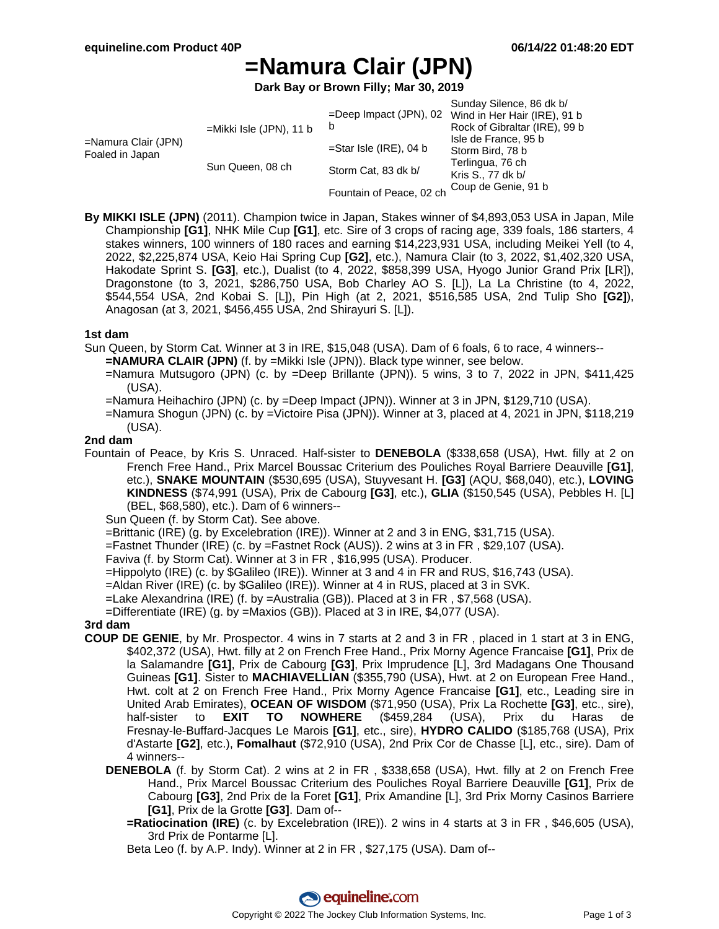# **=Namura Clair (JPN)**

**Dark Bay or Brown Filly; Mar 30, 2019**

| =Namura Clair (JPN)<br>Foaled in Japan | $=$ Mikki Isle (JPN), 11 b | $=$ Deep Impact (JPN), 02<br>b | Sunday Silence, 86 dk b/<br>Wind in Her Hair (IRE), 91 b<br>Rock of Gibraltar (IRE), 99 b |
|----------------------------------------|----------------------------|--------------------------------|-------------------------------------------------------------------------------------------|
|                                        |                            | $=$ Star Isle (IRE), 04 b      | Isle de France, 95 b<br>Storm Bird, 78 b                                                  |
|                                        | Sun Queen, 08 ch           | Storm Cat, 83 dk b/            | Terlingua, 76 ch<br>Kris S., 77 dk b/                                                     |
|                                        |                            | Fountain of Peace, 02 ch       | Coup de Genie, 91 b                                                                       |

**By MIKKI ISLE (JPN)** (2011). Champion twice in Japan, Stakes winner of \$4,893,053 USA in Japan, Mile Championship **[G1]**, NHK Mile Cup **[G1]**, etc. Sire of 3 crops of racing age, 339 foals, 186 starters, 4 stakes winners, 100 winners of 180 races and earning \$14,223,931 USA, including Meikei Yell (to 4, 2022, \$2,225,874 USA, Keio Hai Spring Cup **[G2]**, etc.), Namura Clair (to 3, 2022, \$1,402,320 USA, Hakodate Sprint S. **[G3]**, etc.), Dualist (to 4, 2022, \$858,399 USA, Hyogo Junior Grand Prix [LR]), Dragonstone (to 3, 2021, \$286,750 USA, Bob Charley AO S. [L]), La La Christine (to 4, 2022, \$544,554 USA, 2nd Kobai S. [L]), Pin High (at 2, 2021, \$516,585 USA, 2nd Tulip Sho **[G2]**), Anagosan (at 3, 2021, \$456,455 USA, 2nd Shirayuri S. [L]).

#### **1st dam**

Sun Queen, by Storm Cat. Winner at 3 in IRE, \$15,048 (USA). Dam of 6 foals, 6 to race, 4 winners--

- **=NAMURA CLAIR (JPN)** (f. by =Mikki Isle (JPN)). Black type winner, see below.
	- =Namura Mutsugoro (JPN) (c. by =Deep Brillante (JPN)). 5 wins, 3 to 7, 2022 in JPN, \$411,425 (USA).
	- =Namura Heihachiro (JPN) (c. by =Deep Impact (JPN)). Winner at 3 in JPN, \$129,710 (USA).
	- =Namura Shogun (JPN) (c. by =Victoire Pisa (JPN)). Winner at 3, placed at 4, 2021 in JPN, \$118,219 (USA).

### **2nd dam**

Fountain of Peace, by Kris S. Unraced. Half-sister to **DENEBOLA** (\$338,658 (USA), Hwt. filly at 2 on French Free Hand., Prix Marcel Boussac Criterium des Pouliches Royal Barriere Deauville **[G1]**, etc.), **SNAKE MOUNTAIN** (\$530,695 (USA), Stuyvesant H. **[G3]** (AQU, \$68,040), etc.), **LOVING KINDNESS** (\$74,991 (USA), Prix de Cabourg **[G3]**, etc.), **GLIA** (\$150,545 (USA), Pebbles H. [L] (BEL, \$68,580), etc.). Dam of 6 winners--

Sun Queen (f. by Storm Cat). See above.

=Brittanic (IRE) (g. by Excelebration (IRE)). Winner at 2 and 3 in ENG, \$31,715 (USA).

- =Fastnet Thunder (IRE) (c. by =Fastnet Rock (AUS)). 2 wins at 3 in FR , \$29,107 (USA).
- Faviva (f. by Storm Cat). Winner at 3 in FR , \$16,995 (USA). Producer.
- =Hippolyto (IRE) (c. by \$Galileo (IRE)). Winner at 3 and 4 in FR and RUS, \$16,743 (USA).

=Aldan River (IRE) (c. by \$Galileo (IRE)). Winner at 4 in RUS, placed at 3 in SVK.

=Lake Alexandrina (IRE) (f. by =Australia (GB)). Placed at 3 in FR , \$7,568 (USA).

=Differentiate (IRE) (g. by =Maxios (GB)). Placed at 3 in IRE, \$4,077 (USA).

#### **3rd dam**

- **COUP DE GENIE**, by Mr. Prospector. 4 wins in 7 starts at 2 and 3 in FR , placed in 1 start at 3 in ENG, \$402,372 (USA), Hwt. filly at 2 on French Free Hand., Prix Morny Agence Francaise **[G1]**, Prix de la Salamandre **[G1]**, Prix de Cabourg **[G3]**, Prix Imprudence [L], 3rd Madagans One Thousand Guineas **[G1]**. Sister to **MACHIAVELLIAN** (\$355,790 (USA), Hwt. at 2 on European Free Hand., Hwt. colt at 2 on French Free Hand., Prix Morny Agence Francaise **[G1]**, etc., Leading sire in United Arab Emirates), **OCEAN OF WISDOM** (\$71,950 (USA), Prix La Rochette **[G3]**, etc., sire), half-sister to **EXIT TO NOWHERE** (\$459,284 (USA), Prix du Haras de Fresnay-le-Buffard-Jacques Le Marois **[G1]**, etc., sire), **HYDRO CALIDO** (\$185,768 (USA), Prix d'Astarte **[G2]**, etc.), **Fomalhaut** (\$72,910 (USA), 2nd Prix Cor de Chasse [L], etc., sire). Dam of 4 winners--
	- **DENEBOLA** (f. by Storm Cat). 2 wins at 2 in FR , \$338,658 (USA), Hwt. filly at 2 on French Free Hand., Prix Marcel Boussac Criterium des Pouliches Royal Barriere Deauville **[G1]**, Prix de Cabourg **[G3]**, 2nd Prix de la Foret **[G1]**, Prix Amandine [L], 3rd Prix Morny Casinos Barriere **[G1]**, Prix de la Grotte **[G3]**. Dam of--
		- **=Ratiocination (IRE)** (c. by Excelebration (IRE)). 2 wins in 4 starts at 3 in FR , \$46,605 (USA), 3rd Prix de Pontarme [L].

Beta Leo (f. by A.P. Indy). Winner at 2 in FR , \$27,175 (USA). Dam of--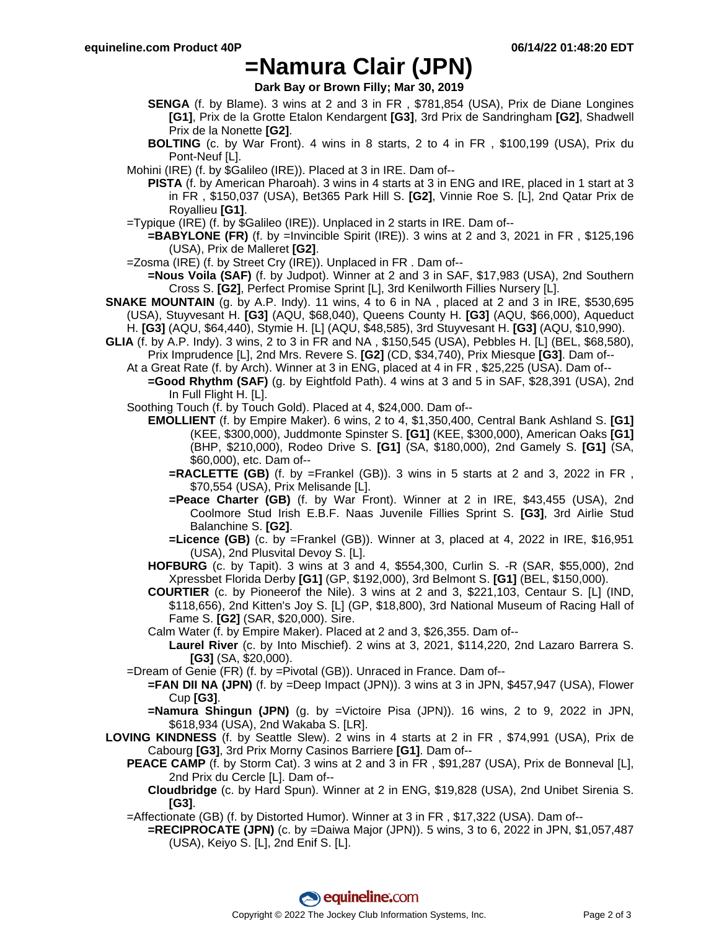## **=Namura Clair (JPN)**

**Dark Bay or Brown Filly; Mar 30, 2019**

- **SENGA** (f. by Blame). 3 wins at 2 and 3 in FR , \$781,854 (USA), Prix de Diane Longines **[G1]**, Prix de la Grotte Etalon Kendargent **[G3]**, 3rd Prix de Sandringham **[G2]**, Shadwell Prix de la Nonette **[G2]**.
- **BOLTING** (c. by War Front). 4 wins in 8 starts, 2 to 4 in FR , \$100,199 (USA), Prix du Pont-Neuf [L].
- Mohini (IRE) (f. by \$Galileo (IRE)). Placed at 3 in IRE. Dam of--
	- **PISTA** (f. by American Pharoah). 3 wins in 4 starts at 3 in ENG and IRE, placed in 1 start at 3 in FR , \$150,037 (USA), Bet365 Park Hill S. **[G2]**, Vinnie Roe S. [L], 2nd Qatar Prix de Royallieu **[G1]**.
- =Typique (IRE) (f. by \$Galileo (IRE)). Unplaced in 2 starts in IRE. Dam of--
	- **=BABYLONE (FR)** (f. by =Invincible Spirit (IRE)). 3 wins at 2 and 3, 2021 in FR, \$125,196 (USA), Prix de Malleret **[G2]**.
- =Zosma (IRE) (f. by Street Cry (IRE)). Unplaced in FR . Dam of--
	- **=Nous Voila (SAF)** (f. by Judpot). Winner at 2 and 3 in SAF, \$17,983 (USA), 2nd Southern Cross S. **[G2]**, Perfect Promise Sprint [L], 3rd Kenilworth Fillies Nursery [L].
- **SNAKE MOUNTAIN** (g. by A.P. Indy). 11 wins, 4 to 6 in NA , placed at 2 and 3 in IRE, \$530,695 (USA), Stuyvesant H. **[G3]** (AQU, \$68,040), Queens County H. **[G3]** (AQU, \$66,000), Aqueduct H. **[G3]** (AQU, \$64,440), Stymie H. [L] (AQU, \$48,585), 3rd Stuyvesant H. **[G3]** (AQU, \$10,990).
- **GLIA** (f. by A.P. Indy). 3 wins, 2 to 3 in FR and NA , \$150,545 (USA), Pebbles H. [L] (BEL, \$68,580), Prix Imprudence [L], 2nd Mrs. Revere S. **[G2]** (CD, \$34,740), Prix Miesque **[G3]**. Dam of--

At a Great Rate (f. by Arch). Winner at 3 in ENG, placed at 4 in FR , \$25,225 (USA). Dam of--

- **=Good Rhythm (SAF)** (g. by Eightfold Path). 4 wins at 3 and 5 in SAF, \$28,391 (USA), 2nd In Full Flight H. [L].
- Soothing Touch (f. by Touch Gold). Placed at 4, \$24,000. Dam of--
	- **EMOLLIENT** (f. by Empire Maker). 6 wins, 2 to 4, \$1,350,400, Central Bank Ashland S. **[G1]** (KEE, \$300,000), Juddmonte Spinster S. **[G1]** (KEE, \$300,000), American Oaks **[G1]** (BHP, \$210,000), Rodeo Drive S. **[G1]** (SA, \$180,000), 2nd Gamely S. **[G1]** (SA, \$60,000), etc. Dam of--
		- **=RACLETTE (GB)** (f. by =Frankel (GB)). 3 wins in 5 starts at 2 and 3, 2022 in FR, \$70,554 (USA), Prix Melisande [L].
		- **=Peace Charter (GB)** (f. by War Front). Winner at 2 in IRE, \$43,455 (USA), 2nd Coolmore Stud Irish E.B.F. Naas Juvenile Fillies Sprint S. **[G3]**, 3rd Airlie Stud Balanchine S. **[G2]**.
		- **=Licence (GB)** (c. by =Frankel (GB)). Winner at 3, placed at 4, 2022 in IRE, \$16,951 (USA), 2nd Plusvital Devoy S. [L].
	- **HOFBURG** (c. by Tapit). 3 wins at 3 and 4, \$554,300, Curlin S. -R (SAR, \$55,000), 2nd Xpressbet Florida Derby **[G1]** (GP, \$192,000), 3rd Belmont S. **[G1]** (BEL, \$150,000).
	- **COURTIER** (c. by Pioneerof the Nile). 3 wins at 2 and 3, \$221,103, Centaur S. [L] (IND, \$118,656), 2nd Kitten's Joy S. [L] (GP, \$18,800), 3rd National Museum of Racing Hall of Fame S. **[G2]** (SAR, \$20,000). Sire.
	- Calm Water (f. by Empire Maker). Placed at 2 and 3, \$26,355. Dam of--
		- **Laurel River** (c. by Into Mischief). 2 wins at 3, 2021, \$114,220, 2nd Lazaro Barrera S. **[G3]** (SA, \$20,000).
- =Dream of Genie (FR) (f. by =Pivotal (GB)). Unraced in France. Dam of--
	- **=FAN DII NA (JPN)** (f. by =Deep Impact (JPN)). 3 wins at 3 in JPN, \$457,947 (USA), Flower Cup **[G3]**.
	- **=Namura Shingun (JPN)** (g. by =Victoire Pisa (JPN)). 16 wins, 2 to 9, 2022 in JPN, \$618,934 (USA), 2nd Wakaba S. [LR].
- **LOVING KINDNESS** (f. by Seattle Slew). 2 wins in 4 starts at 2 in FR , \$74,991 (USA), Prix de Cabourg **[G3]**, 3rd Prix Morny Casinos Barriere **[G1]**. Dam of--
	- **PEACE CAMP** (f. by Storm Cat). 3 wins at 2 and 3 in FR, \$91,287 (USA), Prix de Bonneval [L], 2nd Prix du Cercle [L]. Dam of--
		- **Cloudbridge** (c. by Hard Spun). Winner at 2 in ENG, \$19,828 (USA), 2nd Unibet Sirenia S. **[G3]**.
	- =Affectionate (GB) (f. by Distorted Humor). Winner at 3 in FR , \$17,322 (USA). Dam of--
		- **=RECIPROCATE (JPN)** (c. by =Daiwa Major (JPN)). 5 wins, 3 to 6, 2022 in JPN, \$1,057,487 (USA), Keiyo S. [L], 2nd Enif S. [L].